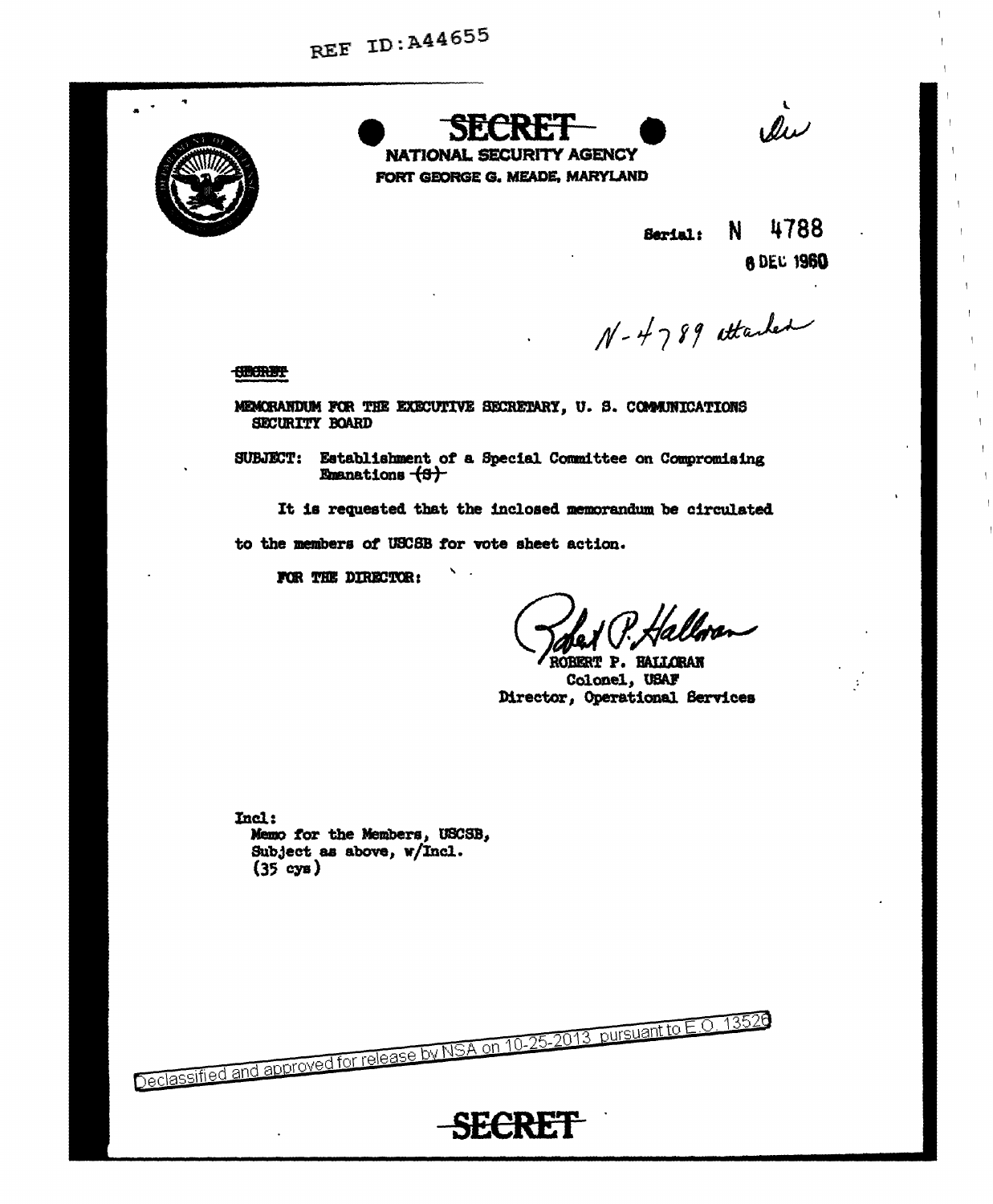

NATIONAL SECURITY AGENCY FORT GEORGE G. MEADE, MARYLAND

les

4788 N. Serial: **8 DEC 1960** 

N-4789 attached

**CHORBY** 

MEMORANDUM FOR THE EXECUTIVE SECRETARY, U. S. COMMUNICATIONS SECURITY BOARD

SUBJECT: Establishment of a Special Committee on Compromising Emanations (S)

It is requested that the inclosed memorandum be circulated

to the members of USCSB for vote sheet action.

 $\mathbf{N} \in \mathbb{R}$ 

Declassified and approved for release by NSA on 10-25-2013 pursuant to E.O. 13520

**SECRET** 

FOR THE DIRECTOR:

Halloren

**RERT P. HALLORAN** Colonel, USAF Director, Operational Services

Incl: Memo for the Members, USCSB, Subject as above, w/Incl.  $(35 \text{ cys})$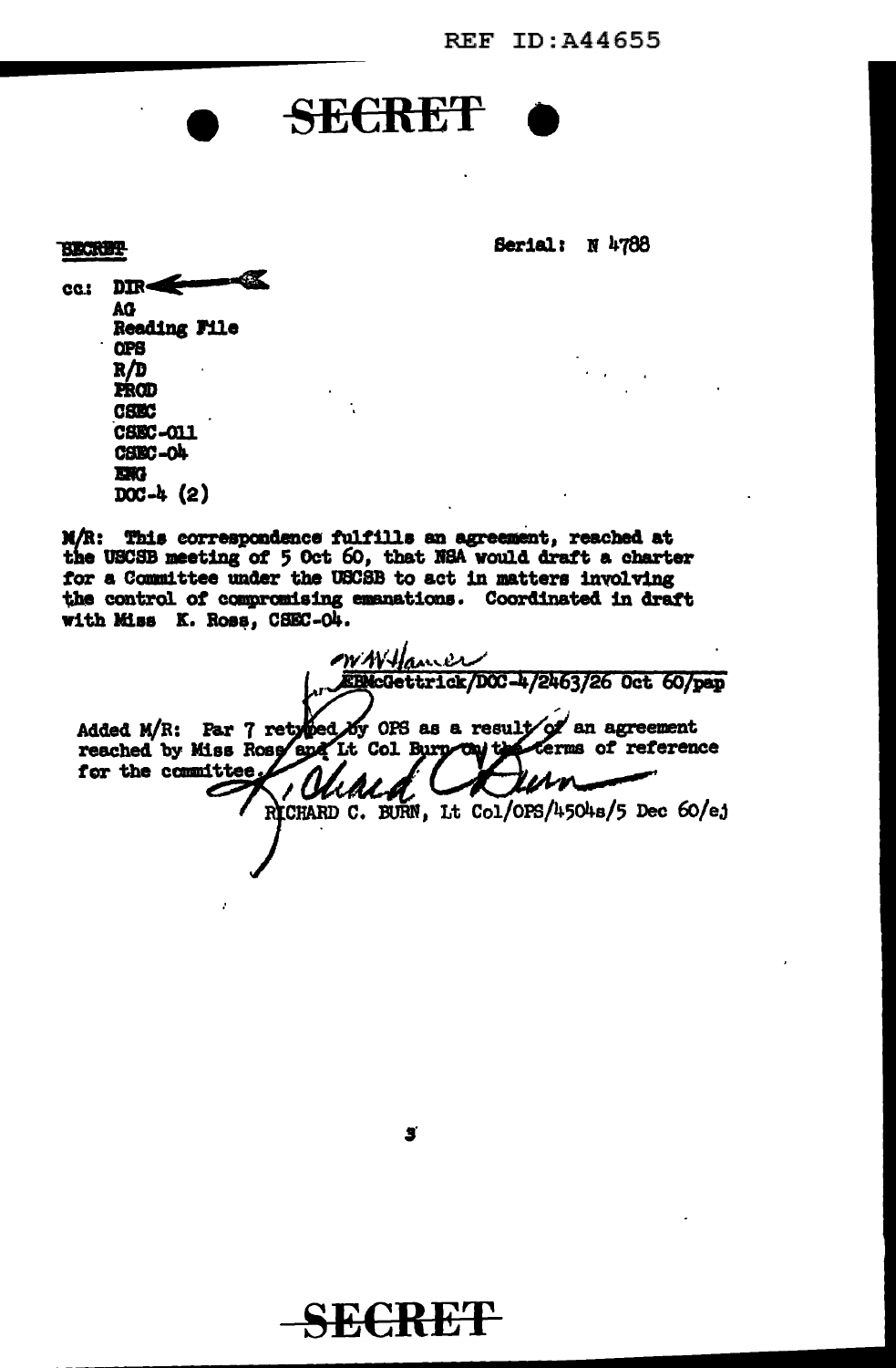**REF ID:A44655** 

**Serial: N 4788** 

**SECRET** 

**BECRET-** $DR =$ 1.00 AG Reading File **QPB** R/D PROD **CSEC** CSEC-011 CHRC-OL **EXG**  $DC-4(2)$ 

÷,

M/R: This correspondence fulfills an agreement, reached at the USCSB meeting of 5 Oct 60, that NSA would draft a charter for a Committee under the USCSB to act in matters involving the control of compromising emanations. Coordinated in draft with Miss K. Ross, CSEC-O4.

WWHamer EBMcGettrick/DCC-4/2463/26 Oct 60/pap Added M/R: Par 7 retyped by OPS as a result of an agreement reached by Miss Ross and It Col Burn ou the Cerms of reference for the committee. RICHARD C. BURN, Lt Col/OPS/4504s/5 Dec 60/ej



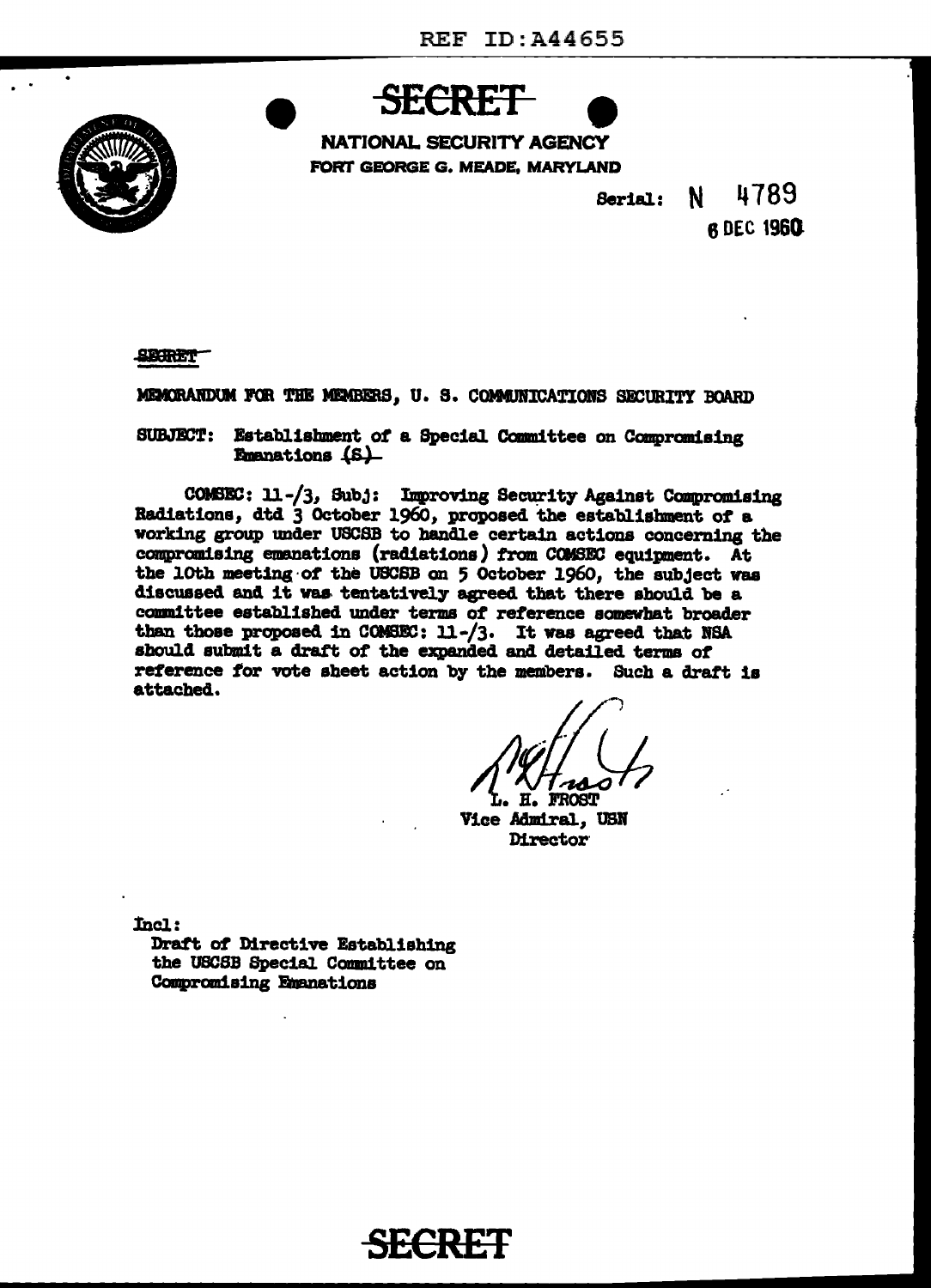

**NATIONAL SECURITY AGENCY** FORT GEORGE G. MEADE, MARYLAND



4789 N. Serial:

**6 DEC 1960** 

**SECRET** 

MEMORANDUM FOR THE MEMBERS, U. S. COMMUNICATIONS SECURITY BOARD

SUBJECT: Establishment of a Special Committee on Compromising Emanations (S)

COMSEC: 11-/3, Subj: Improving Security Against Compromising Radiations, dtd 3 October 1960, proposed the establishment of a working group under USCSB to handle certain actions concerning the compromising emanations (radiations) from COMSEC equipment. At the 10th meeting of the USCSB on 5 October 1960, the subject was discussed and it was tentatively agreed that there should be a committee established under terms of reference somewhat broader than those proposed in COMSEC: 11-/3. It was agreed that NSA should submit a draft of the expanded and detailed terms of reference for vote sheet action by the members. Such a draft is attached.

Ħ. **FROST** 

Vice Admiral, USN **Director** 

Incl:

Draft of Directive Establishing the USCSB Special Committee on Compromising Emanations

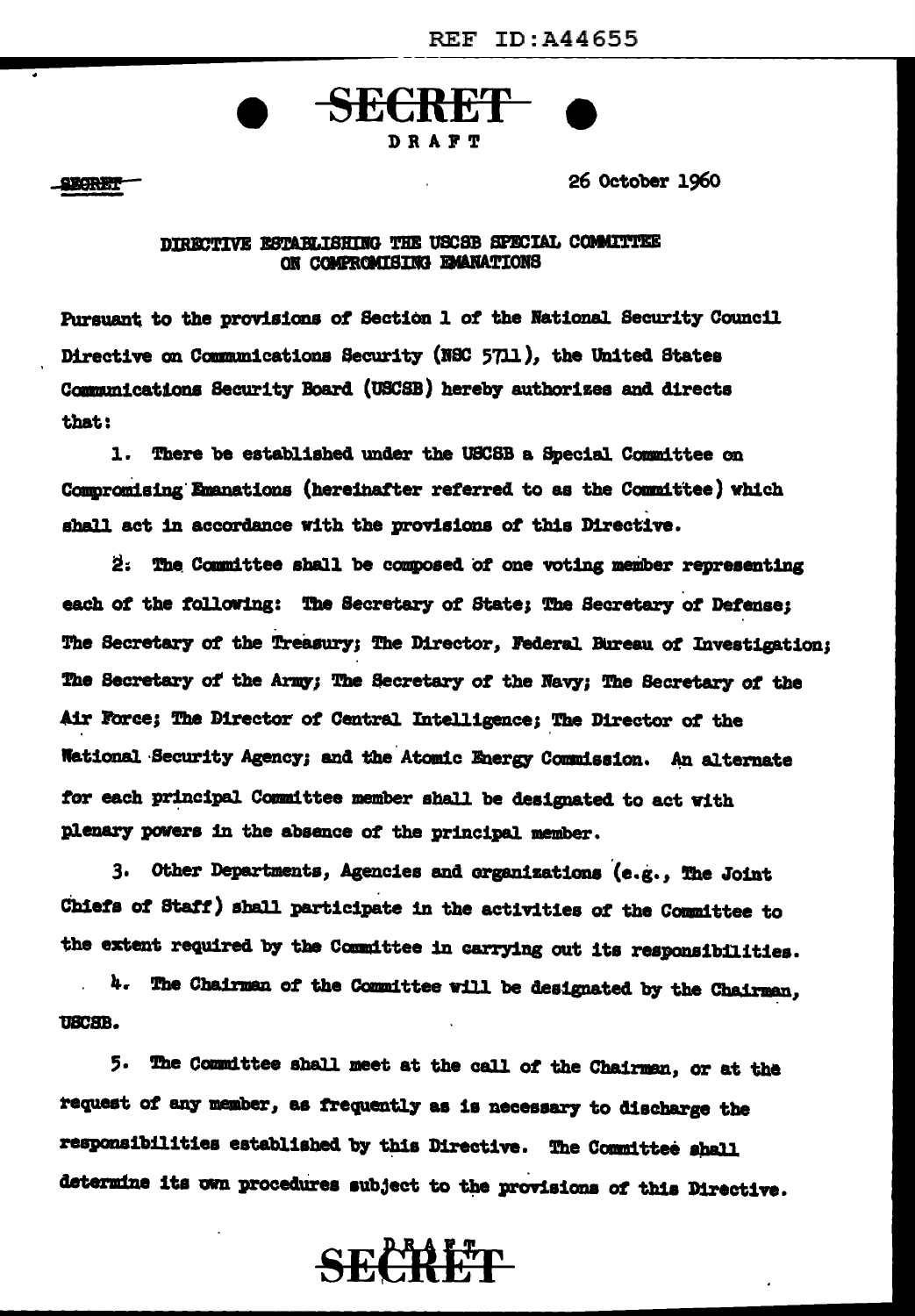

### DRAFT

**SECRET** 

**SECRET** 

26 October 1960

### DIRECTIVE ESTABLISHING THE USCSB SPECIAL COMMITTEE ON COMPROMISING EMANATIONS

Pursuant to the provisions of Section 1 of the National Security Council Directive on Communications Security (NSC 5711), the United States Communications Security Board (USCSB) hereby authorizes and directs that:

1. There be established under the USCSB a Special Committee on Compromising Emanations (hereinafter referred to as the Committee) which shall act in accordance with the provisions of this Directive.

2. The Committee shall be composed of one voting member representing each of the following: The Secretary of State; The Secretary of Defense: The Secretary of the Treasury; The Director, Federal Bureau of Investigation; The Secretary of the Army; The Secretary of the Navy; The Secretary of the Air Force; The Director of Central Intelligence; The Director of the **National Security Agency; and the Atomic Energy Commission. An alternate** for each principal Committee member shall be designated to act with plenary powers in the absence of the principal member.

3. Other Departments, Agencies and organizations (e.g., The Joint Chiefs of Staff) shall participate in the activities of the Committee to the extent required by the Committee in carrying out its responsibilities.

4. The Chairman of the Committee will be designated by the Chairman, UBCSB.

5. The Committee shall meet at the call of the Chairman, or at the request of any member, as frequently as is necessary to discharge the responsibilities established by this Directive. The Committee shall determine its own procedures subject to the provisions of this Directive.

# **SECRET**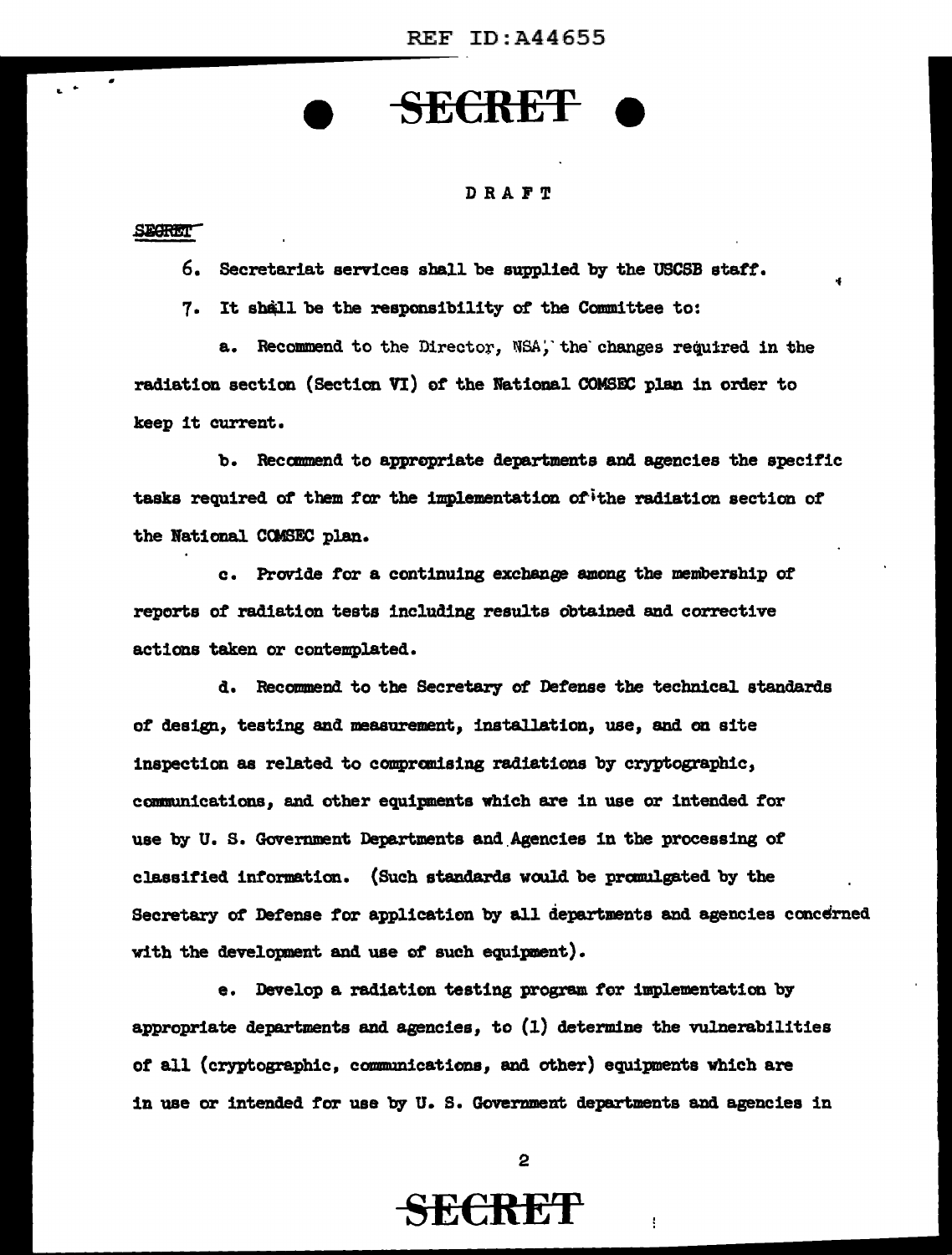# SE€RE'f

### DRAFT

#### SEGRET<sup>-</sup>

 $\overline{\phantom{a}}$  .

6. Secretariat services aball be supplied by the USCSB atatf'.

7. It shall be the responsibility of the Committee to:

a. Recommend to the Director, NSA, the changes required in the radiation section (Section VI) of' the National COMSIC plan in order to keep it current.

b. Recamnend to appropriate departments and agencies the apecif'ic tasks required *ot* them for the implementation of'"ithe radiation section of' the National CCMSEC plan.

c. Provide for a continuing exchange among the membership of reports of' radiation teats including results obtained and corrective actions taken or contemplated.

d. Recommend to the Secretary of Defense the technical standards *ot* design, testing and measurement, installation, use, and on site inspection as related to compranising radiations by cryptographic, communications, and other equipments which are in use or intended for use by U. s. Government Departments and.Agencies in the processing of classified information. (Such standards would be promulgated by the Secretary of Defense for application by all departments and agencies concerned with the developnent and use *ot* such equipment).

e. Develop a radiation testing program for implementation by appropriate departments and agencies, to (1) determine the vulnerabilities *ot* all (cryptographic, cmmmmications, and other) equipnents which are in use or intended for use by U.S. Government departments and agencies in